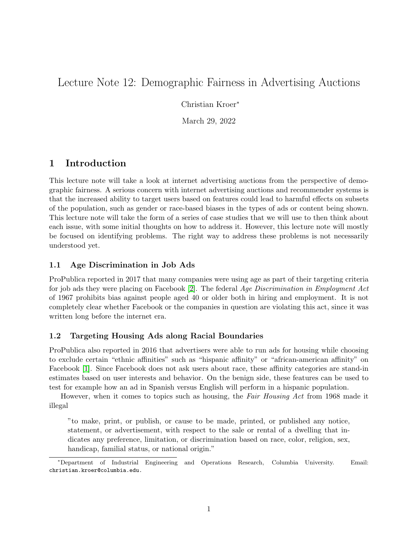# Lecture Note 12: Demographic Fairness in Advertising Auctions

Christian Kroer<sup>∗</sup>

March 29, 2022

# 1 Introduction

This lecture note will take a look at internet advertising auctions from the perspective of demographic fairness. A serious concern with internet advertising auctions and recommender systems is that the increased ability to target users based on features could lead to harmful effects on subsets of the population, such as gender or race-based biases in the types of ads or content being shown. This lecture note will take the form of a series of case studies that we will use to then think about each issue, with some initial thoughts on how to address it. However, this lecture note will mostly be focused on identifying problems. The right way to address these problems is not necessarily understood yet.

## 1.1 Age Discrimination in Job Ads

ProPublica reported in 2017 that many companies were using age as part of their targeting criteria for job ads they were placing on Facebook [\[2\]](#page-3-0). The federal Age Discrimination in Employment Act of 1967 prohibits bias against people aged 40 or older both in hiring and employment. It is not completely clear whether Facebook or the companies in question are violating this act, since it was written long before the internet era.

#### 1.2 Targeting Housing Ads along Racial Boundaries

ProPublica also reported in 2016 that advertisers were able to run ads for housing while choosing to exclude certain "ethnic affinities" such as "hispanic affinity" or "african-american affinity" on Facebook [\[1\]](#page-3-1). Since Facebook does not ask users about race, these affinity categories are stand-in estimates based on user interests and behavior. On the benign side, these features can be used to test for example how an ad in Spanish versus English will perform in a hispanic population.

However, when it comes to topics such as housing, the Fair Housing Act from 1968 made it illegal

"to make, print, or publish, or cause to be made, printed, or published any notice, statement, or advertisement, with respect to the sale or rental of a dwelling that indicates any preference, limitation, or discrimination based on race, color, religion, sex, handicap, familial status, or national origin."

<sup>∗</sup>Department of Industrial Engineering and Operations Research, Columbia University. Email: christian.kroer@columbia.edu.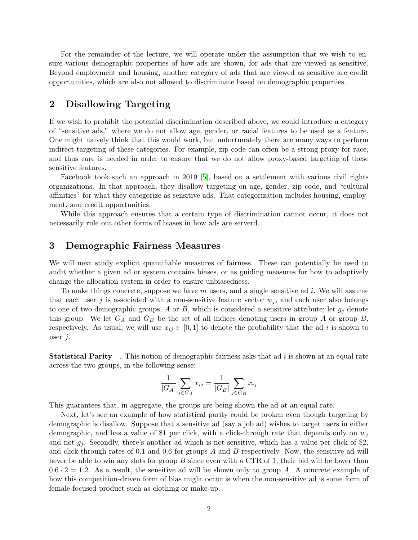For the remainder of the lecture, we will operate under the assumption that we wish to ensure various demographic properties of how ads are shown, for ads that are viewed as sensitive. Beyond employment and housing, another category of ads that are viewed as sensitive are credit opportunities, which are also not allowed to discriminate based on demographic properties.

## 2 Disallowing Targeting

If we wish to prohibit the potential discrimination described above, we could introduce a category of "sensitive ads," where we do not allow age, gender, or racial features to be used as a feature. One might naively think that this would work, but unfortunately there are many ways to perform indirect targeting of these categories. For example, zip code can often be a strong proxy for race, and thus care is needed in order to ensure that we do not allow proxy-based targeting of these sensitive features.

Facebook took such an approach in 2019 [\[5\]](#page-3-2), based on a settlement with various civil rights organizations. In that approach, they disallow targeting on age, gender, zip code, and "cultural affinities" for what they categorize as sensitive ads. That categorization includes housing, employment, and credit opportunities.

While this approach ensures that a certain type of discrimination cannot occur, it does not necessarily rule out other forms of biases in how ads are serverd.

## 3 Demographic Fairness Measures

We will next study explicit quantifiable measures of fairness. These can potentially be used to audit whether a given ad or system contains biases, or as guiding measures for how to adaptively change the allocation system in order to ensure unbiasedness.

To make things concrete, suppose we have m users, and a single sensitive ad i. We will assume that each user j is associated with a non-sensitive feature vector  $w_i$ , and each user also belongs to one of two demographic groups, A or B, which is considered a sensitive attribute; let  $g_i$  denote this group. We let  $G_A$  and  $G_B$  be the set of all indices denoting users in group A or group B, respectively. As usual, we will use  $x_{ij} \in [0,1]$  to denote the probability that the ad i is shown to user  $j$ .

**Statistical Parity** . This notion of demographic fairness asks that ad  $i$  is shown at an equal rate across the two groups, in the following sense:

$$
\frac{1}{|G_A|} \sum_{j \in G_A} x_{ij} = \frac{1}{|G_B|} \sum_{j \in G_B} x_{ij}
$$

This guarantees that, in aggregate, the groups are being shown the ad at an equal rate.

Next, let's see an example of how statistical parity could be broken even though targeting by demographic is disallow. Suppose that a sensitive ad (say a job ad) wishes to target users in either demographic, and has a value of \$1 per click, with a click-through rate that depends only on  $w_i$ and not  $g_i$ . Secondly, there's another ad which is not sensitive, which has a value per click of \$2, and click-through rates of 0.1 and 0.6 for groups A and B respectively. Now, the sensitive ad will never be able to win any slots for group B since even with a CTR of 1, their bid will be lower than  $0.6 \cdot 2 = 1.2$ . As a result, the sensitive ad will be shown only to group A. A concrete example of how this competition-driven form of bias might occur is when the non-sensitive ad is some form of female-focused product such as clothing or make-up.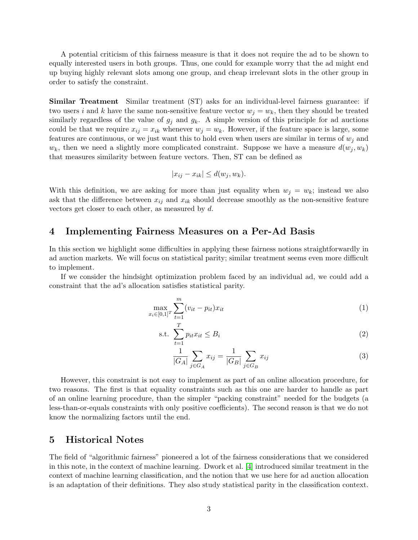A potential criticism of this fairness measure is that it does not require the ad to be shown to equally interested users in both groups. Thus, one could for example worry that the ad might end up buying highly relevant slots among one group, and cheap irrelevant slots in the other group in order to satisfy the constraint.

Similar Treatment Similar treatment (ST) asks for an individual-level fairness guarantee: if two users i and k have the same non-sensitive feature vector  $w_j = w_k$ , then they should be treated similarly regardless of the value of  $g_j$  and  $g_k$ . A simple version of this principle for ad auctions could be that we require  $x_{ij} = x_{ik}$  whenever  $w_j = w_k$ . However, if the feature space is large, some features are continuous, or we just want this to hold even when users are similar in terms of  $w_i$  and  $w_k$ , then we need a slightly more complicated constraint. Suppose we have a measure  $d(w_j, w_k)$ that measures similarity between feature vectors. Then, ST can be defined as

$$
|x_{ij} - x_{ik}| \le d(w_j, w_k).
$$

With this definition, we are asking for more than just equality when  $w_j = w_k$ ; instead we also ask that the difference between  $x_{ij}$  and  $x_{ik}$  should decrease smoothly as the non-sensitive feature vectors get closer to each other, as measured by d.

## 4 Implementing Fairness Measures on a Per-Ad Basis

In this section we highlight some difficulties in applying these fairness notions straightforwardly in ad auction markets. We will focus on statistical parity; similar treatment seems even more difficult to implement.

If we consider the hindsight optimization problem faced by an individual ad, we could add a constraint that the ad's allocation satisfies statistical parity.

$$
\max_{x_i \in [0,1]^T} \sum_{t=1}^m (v_{it} - p_{it}) x_{it}
$$
\n<sup>(1)</sup>

$$
\text{s.t. } \sum_{t=1}^{t} p_{it} x_{it} \leq B_i \tag{2}
$$

$$
\frac{1}{|G_A|} \sum_{j \in G_A} x_{ij} = \frac{1}{|G_B|} \sum_{j \in G_B} x_{ij}
$$
 (3)

However, this constraint is not easy to implement as part of an online allocation procedure, for two reasons. The first is that equality constraints such as this one are harder to handle as part of an online learning procedure, than the simpler "packing constraint" needed for the budgets (a less-than-or-equals constraints with only positive coefficients). The second reason is that we do not know the normalizing factors until the end.

## 5 Historical Notes

The field of "algorithmic fairness" pioneered a lot of the fairness considerations that we considered in this note, in the context of machine learning. Dwork et al. [\[4\]](#page-3-3) introduced similar treatment in the context of machine learning classification, and the notion that we use here for ad auction allocation is an adaptation of their definitions. They also study statistical parity in the classification context.